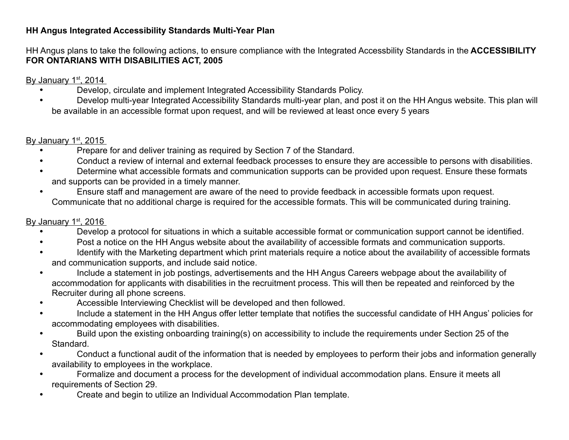## **HH Angus Integrated Accessibility Standards Multi-Year Plan**

HH Angus plans to take the following actions, to ensure compliance with the Integrated Accessbility Standards in the **ACCESSIBILITY FOR ONTARIANS WITH DISABILITIES ACT, 2005**

By January 1st, 2014

- Develop, circulate and implement Integrated Accessibility Standards Policy.
- Develop multi-year Integrated Accessibility Standards multi-year plan, and post it on the HH Angus website. This plan will be available in an accessible format upon request, and will be reviewed at least once every 5 years

## By January 1st, 2015

- Prepare for and deliver training as required by Section 7 of the Standard.
- Conduct a review of internal and external feedback processes to ensure they are accessible to persons with disabilities.
- Determine what accessible formats and communication supports can be provided upon request. Ensure these formats and supports can be provided in a timely manner.
- Ensure staff and management are aware of the need to provide feedback in accessible formats upon request. Communicate that no additional charge is required for the accessible formats. This will be communicated during training.

## By January 1st, 2016

- Develop a protocol for situations in which a suitable accessible format or communication support cannot be identified.
- Post a notice on the HH Angus website about the availability of accessible formats and communication supports.
- Identify with the Marketing department which print materials require a notice about the availability of accessible formats and communication supports, and include said notice.
- Include a statement in job postings, advertisements and the HH Angus Careers webpage about the availability of accommodation for applicants with disabilities in the recruitment process. This will then be repeated and reinforced by the Recruiter during all phone screens.
- Accessible Interviewing Checklist will be developed and then followed.
- Include a statement in the HH Angus offer letter template that notifies the successful candidate of HH Angus' policies for accommodating employees with disabilities.
- Build upon the existing onboarding training(s) on accessibility to include the requirements under Section 25 of the Standard.
- Conduct a functional audit of the information that is needed by employees to perform their jobs and information generally availability to employees in the workplace.
- Formalize and document a process for the development of individual accommodation plans. Ensure it meets all requirements of Section 29.
- Create and begin to utilize an Individual Accommodation Plan template.